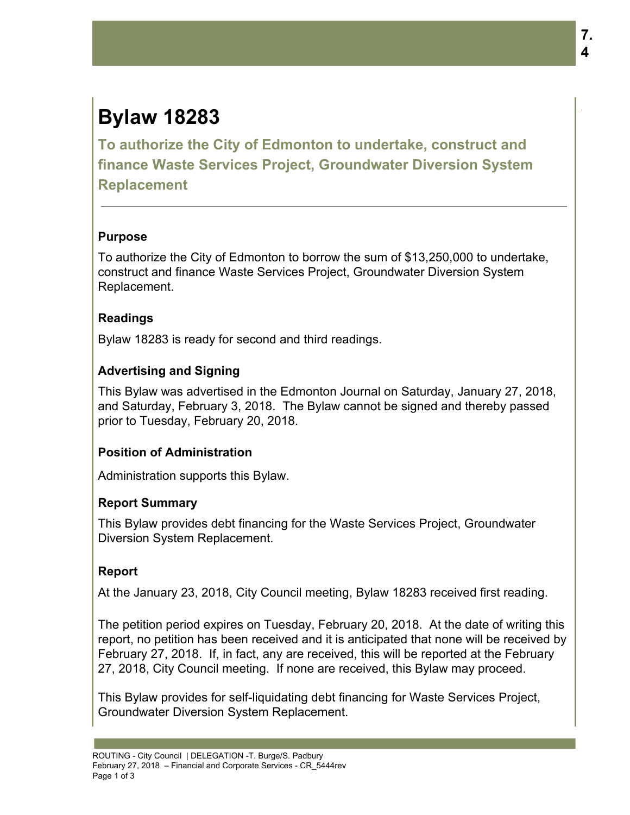# **Bylaw 18283**

**To authorize the City of Edmonton to undertake, construct and finance Waste Services Project, Groundwater Diversion System Replacement**

### **Purpose**

To authorize the City of Edmonton to borrow the sum of \$13,250,000 to undertake, construct and finance Waste Services Project, Groundwater Diversion System Replacement.

### **Readings**

Bylaw 18283 is ready for second and third readings.

# **Advertising and Signing**

This Bylaw was advertised in the Edmonton Journal on Saturday, January 27, 2018, and Saturday, February 3, 2018. The Bylaw cannot be signed and thereby passed prior to Tuesday, February 20, 2018.

# **Position of Administration**

Administration supports this Bylaw.

# **Report Summary**

This Bylaw provides debt financing for the Waste Services Project, Groundwater Diversion System Replacement.

# **Report**

At the January 23, 2018, City Council meeting, Bylaw 18283 received first reading.

The petition period expires on Tuesday, February 20, 2018. At the date of writing this report, no petition has been received and it is anticipated that none will be received by February 27, 2018. If, in fact, any are received, this will be reported at the February 27, 2018, City Council meeting. If none are received, this Bylaw may proceed.

This Bylaw provides for self-liquidating debt financing for Waste Services Project, Groundwater Diversion System Replacement.

.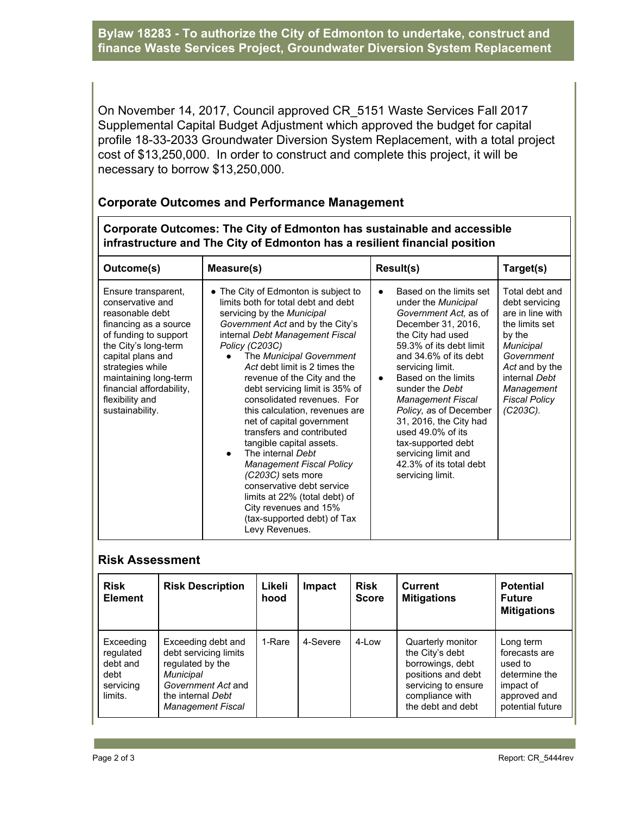**Bylaw 18283 - To authorize the City of Edmonton to undertake, construct and finance Waste Services Project, Groundwater Diversion System Replacement**

On November 14, 2017, Council approved CR\_5151 Waste Services Fall 2017 Supplemental Capital Budget Adjustment which approved the budget for capital profile 18-33-2033 Groundwater Diversion System Replacement, with a total project cost of \$13,250,000. In order to construct and complete this project, it will be necessary to borrow \$13,250,000.

#### **Corporate Outcomes and Performance Management**

**Corporate Outcomes: The City of Edmonton has sustainable and accessible infrastructure and The City of Edmonton has a resilient financial position**

| Outcome(s)                                                                                                                                                                                                                                                               | Measure(s)                                                                                                                                                                                                                                                                                                                                                                                                                                                                                                                                                                                                                                                                                                         | Result(s)                                                                                                                                                                                                                                                                                                                                                                                                                                          | Target(s)                                                                                                                                                                                                  |
|--------------------------------------------------------------------------------------------------------------------------------------------------------------------------------------------------------------------------------------------------------------------------|--------------------------------------------------------------------------------------------------------------------------------------------------------------------------------------------------------------------------------------------------------------------------------------------------------------------------------------------------------------------------------------------------------------------------------------------------------------------------------------------------------------------------------------------------------------------------------------------------------------------------------------------------------------------------------------------------------------------|----------------------------------------------------------------------------------------------------------------------------------------------------------------------------------------------------------------------------------------------------------------------------------------------------------------------------------------------------------------------------------------------------------------------------------------------------|------------------------------------------------------------------------------------------------------------------------------------------------------------------------------------------------------------|
| Ensure transparent,<br>conservative and<br>reasonable debt<br>financing as a source<br>of funding to support<br>the City's long-term<br>capital plans and<br>strategies while<br>maintaining long-term<br>financial affordability,<br>flexibility and<br>sustainability. | • The City of Edmonton is subject to<br>limits both for total debt and debt<br>servicing by the <i>Municipal</i><br>Government Act and by the City's<br>internal Debt Management Fiscal<br>Policy (C203C)<br>The Municipal Government<br>Act debt limit is 2 times the<br>revenue of the City and the<br>debt servicing limit is 35% of<br>consolidated revenues. For<br>this calculation, revenues are<br>net of capital government<br>transfers and contributed<br>tangible capital assets.<br>The internal Debt<br><b>Management Fiscal Policy</b><br>(C203C) sets more<br>conservative debt service<br>limits at 22% (total debt) of<br>City revenues and 15%<br>(tax-supported debt) of Tax<br>Levy Revenues. | Based on the limits set<br>under the Municipal<br>Government Act, as of<br>December 31, 2016,<br>the City had used<br>59.3% of its debt limit<br>and 34.6% of its debt<br>servicing limit.<br>Based on the limits<br>$\bullet$<br>sunder the Debt<br><b>Management Fiscal</b><br>Policy, as of December<br>31, 2016, the City had<br>used 49.0% of its<br>tax-supported debt<br>servicing limit and<br>42.3% of its total debt<br>servicing limit. | Total debt and<br>debt servicing<br>are in line with<br>the limits set<br>by the<br><b>Municipal</b><br>Government<br>Act and by the<br>internal Debt<br>Management<br><b>Fiscal Policy</b><br>$(C203C)$ . |

#### **Risk Assessment**

| <b>Risk</b><br><b>Element</b>                                      | <b>Risk Description</b>                                                                                                                             | Likeli<br>hood | Impact   | <b>Risk</b><br><b>Score</b> | Current<br><b>Mitigations</b>                                                                                                                 | <b>Potential</b><br><b>Future</b><br><b>Mitigations</b>                                                 |
|--------------------------------------------------------------------|-----------------------------------------------------------------------------------------------------------------------------------------------------|----------------|----------|-----------------------------|-----------------------------------------------------------------------------------------------------------------------------------------------|---------------------------------------------------------------------------------------------------------|
| Exceeding<br>regulated<br>debt and<br>debt<br>servicing<br>limits. | Exceeding debt and<br>debt servicing limits<br>regulated by the<br>Municipal<br>Government Act and<br>the internal Debt<br><b>Management Fiscal</b> | 1-Rare         | 4-Severe | 4-Low                       | Quarterly monitor<br>the City's debt<br>borrowings, debt<br>positions and debt<br>servicing to ensure<br>compliance with<br>the debt and debt | Long term<br>forecasts are<br>used to<br>determine the<br>impact of<br>approved and<br>potential future |